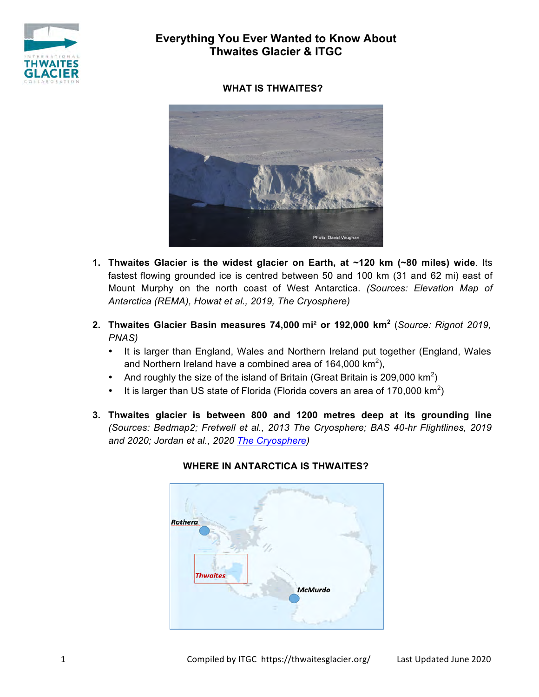

# **Everything You Ever Wanted to Know About Thwaites Glacier & ITGC**

### **WHAT IS THWAITES?**



- **1. Thwaites Glacier is the widest glacier on Earth, at ~120 km (~80 miles) wide**. Its fastest flowing grounded ice is centred between 50 and 100 km (31 and 62 mi) east of Mount Murphy on the north coast of West Antarctica. *(Sources: Elevation Map of Antarctica (REMA), Howat et al., 2019, The Cryosphere)*
- **2. Thwaites Glacier Basin measures 74,000 mi² or 192,000 km<sup>2</sup>** (*Source: Rignot 2019, PNAS)*
	- It is larger than England, Wales and Northern Ireland put together (England, Wales and Northern Ireland have a combined area of 164,000 km<sup>2</sup>),
	- And roughly the size of the island of Britain (Great Britain is 209,000 km<sup>2</sup>)
	- It is larger than US state of Florida (Florida covers an area of 170,000  $\text{km}^2$ )
- **3. Thwaites glacier is between 800 and 1200 metres deep at its grounding line** *(Sources: Bedmap2; Fretwell et al., 2013 The Cryosphere; BAS 40-hr Flightlines, 2019 and 2020; Jordan et al., 2020 The Cryosphere)*



### **WHERE IN ANTARCTICA IS THWAITES?**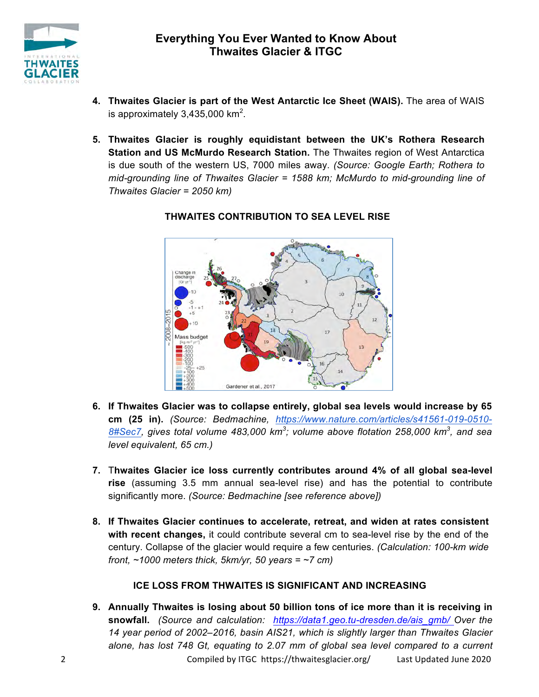

- **4. Thwaites Glacier is part of the West Antarctic Ice Sheet (WAIS).** The area of WAIS is approximately 3,435,000 km<sup>2</sup>.
- **5. Thwaites Glacier is roughly equidistant between the UK's Rothera Research Station and US McMurdo Research Station.** The Thwaites region of West Antarctica is due south of the western US, 7000 miles away. *(Source: Google Earth; Rothera to mid-grounding line of Thwaites Glacier = 1588 km; McMurdo to mid-grounding line of Thwaites Glacier = 2050 km)*



### **THWAITES CONTRIBUTION TO SEA LEVEL RISE**

- **6. If Thwaites Glacier was to collapse entirely, global sea levels would increase by 65 cm (25 in).** *(Source: Bedmachine, https://www.nature.com/articles/s41561-019-0510- 8#Sec7, gives total volume 483,000 km<sup>3</sup> ; volume above flotation 258,000 km<sup>3</sup> , and sea level equivalent, 65 cm.)*
- **7.** T**hwaites Glacier ice loss currently contributes around 4% of all global sea-level rise** (assuming 3.5 mm annual sea-level rise) and has the potential to contribute significantly more. *(Source: Bedmachine [see reference above])*
- **8. If Thwaites Glacier continues to accelerate, retreat, and widen at rates consistent with recent changes,** it could contribute several cm to sea-level rise by the end of the century. Collapse of the glacier would require a few centuries. *(Calculation: 100-km wide front, ~1000 meters thick, 5km/yr, 50 years = ~7 cm)*

## **ICE LOSS FROM THWAITES IS SIGNIFICANT AND INCREASING**

2 Compiled by ITGC https://thwaitesglacier.org/ Last Updated June 2020 **9. Annually Thwaites is losing about 50 billion tons of ice more than it is receiving in snowfall.** *(Source and calculation: https://data1.geo.tu-dresden.de/ais\_gmb/ Over the 14 year period of 2002–2016, basin AIS21, which is slightly larger than Thwaites Glacier alone, has lost 748 Gt, equating to 2.07 mm of global sea level compared to a current*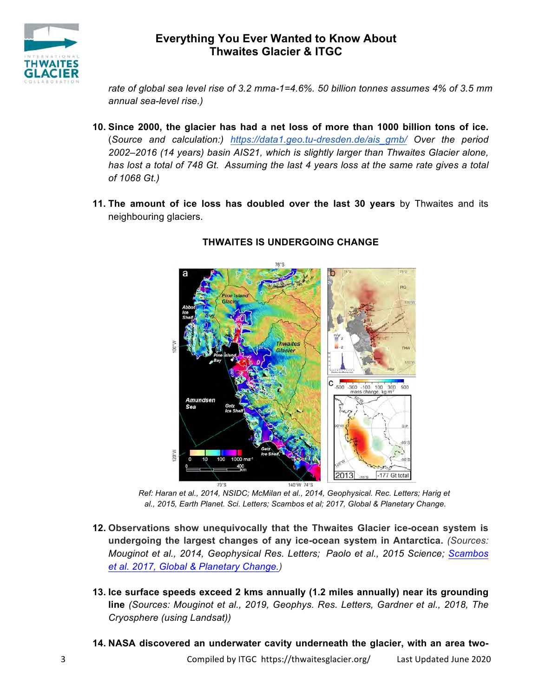

# **Everything You Ever Wanted to Know About Thwaites Glacier & ITGC**

*rate of global sea level rise of 3.2 mma-1=4.6%. 50 billion tonnes assumes 4% of 3.5 mm annual sea-level rise.)*

- **10. Since 2000, the glacier has had a net loss of more than 1000 billion tons of ice.** (*Source and calculation:) https://data1.geo.tu-dresden.de/ais\_gmb/ Over the period 2002–2016 (14 years) basin AIS21, which is slightly larger than Thwaites Glacier alone, has lost a total of 748 Gt. Assuming the last 4 years loss at the same rate gives a total of 1068 Gt.)*
- **11. The amount of ice loss has doubled over the last 30 years** by Thwaites and its neighbouring glaciers.



### **THWAITES IS UNDERGOING CHANGE**

*Ref: Haran et al., 2014, NSIDC; McMilan et al., 2014, Geophysical. Rec. Letters; Harig et al., 2015, Earth Planet. Sci. Letters; Scambos et al; 2017, Global & Planetary Change.* 

- **12. Observations show unequivocally that the Thwaites Glacier ice-ocean system is undergoing the largest changes of any ice-ocean system in Antarctica.** *(Sources: Mouginot et al., 2014, Geophysical Res. Letters; Paolo et al., 2015 Science; Scambos et al. 2017, Global & Planetary Change.)*
- **13. Ice surface speeds exceed 2 kms annually (1.2 miles annually) near its grounding line** *(Sources: Mouginot et al., 2019, Geophys. Res. Letters, Gardner et al., 2018, The Cryosphere (using Landsat))*
- **14. NASA discovered an underwater cavity underneath the glacier, with an area two-**